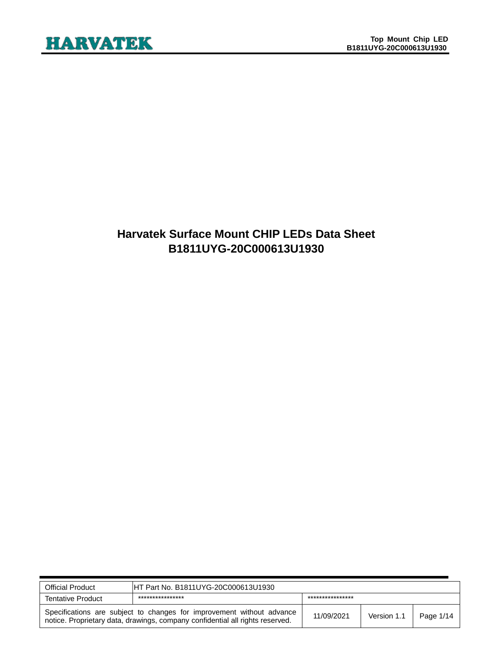### **Harvatek Surface Mount CHIP LEDs Data Sheet B1811UYG-20C000613U1930**

| <b>Official Product</b>                                                                                                                                | IHT Part No. B1811UYG-20C000613U1930 |                  |             |           |
|--------------------------------------------------------------------------------------------------------------------------------------------------------|--------------------------------------|------------------|-------------|-----------|
| <b>Tentative Product</b>                                                                                                                               | ****************                     | **************** |             |           |
| Specifications are subject to changes for improvement without advance<br>notice. Proprietary data, drawings, company confidential all rights reserved. |                                      | 11/09/2021       | Version 1.1 | Page 1/14 |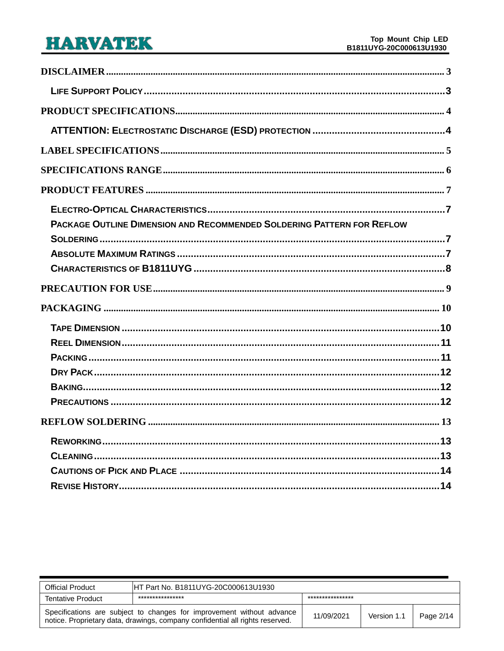| PACKAGE OUTLINE DIMENSION AND RECOMMENDED SOLDERING PATTERN FOR REFLOW |
|------------------------------------------------------------------------|
|                                                                        |
|                                                                        |
|                                                                        |
|                                                                        |
|                                                                        |
|                                                                        |
|                                                                        |
|                                                                        |
|                                                                        |
|                                                                        |
|                                                                        |
|                                                                        |
|                                                                        |
|                                                                        |
|                                                                        |
|                                                                        |

| <b>Official Product</b>                                                                                                                                | IHT Part No. B1811UYG-20C000613U1930 |                  |             |           |
|--------------------------------------------------------------------------------------------------------------------------------------------------------|--------------------------------------|------------------|-------------|-----------|
| <b>Tentative Product</b>                                                                                                                               | ****************                     | **************** |             |           |
| Specifications are subject to changes for improvement without advance<br>notice. Proprietary data, drawings, company confidential all rights reserved. |                                      | 11/09/2021       | Version 1.1 | Page 2/14 |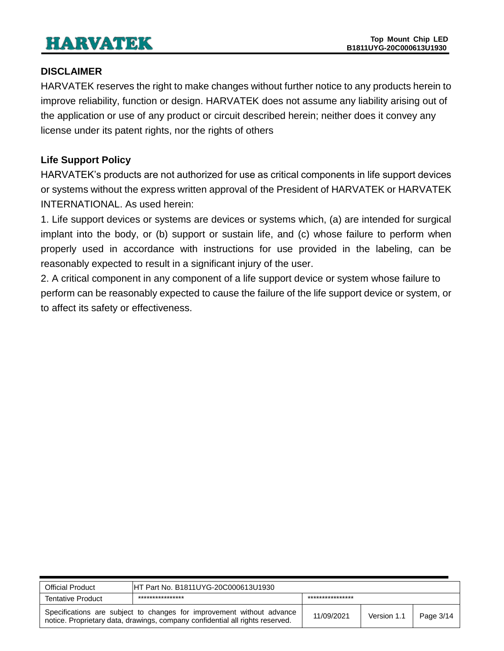### <span id="page-2-0"></span>**DISCLAIMER**

HARVATEK reserves the right to make changes without further notice to any products herein to improve reliability, function or design. HARVATEK does not assume any liability arising out of the application or use of any product or circuit described herein; neither does it convey any license under its patent rights, nor the rights of others

### <span id="page-2-1"></span>**Life Support Policy**

HARVATEK's products are not authorized for use as critical components in life support devices or systems without the express written approval of the President of HARVATEK or HARVATEK INTERNATIONAL. As used herein:

1. Life support devices or systems are devices or systems which, (a) are intended for surgical implant into the body, or (b) support or sustain life, and (c) whose failure to perform when properly used in accordance with instructions for use provided in the labeling, can be reasonably expected to result in a significant injury of the user.

2. A critical component in any component of a life support device or system whose failure to perform can be reasonably expected to cause the failure of the life support device or system, or to affect its safety or effectiveness.

| <b>Official Product</b>                                                                                                                                | HT Part No. B1811UYG-20C000613U1930  |            |             |           |  |
|--------------------------------------------------------------------------------------------------------------------------------------------------------|--------------------------------------|------------|-------------|-----------|--|
| <b>Tentative Product</b>                                                                                                                               | ****************<br>**************** |            |             |           |  |
| Specifications are subject to changes for improvement without advance<br>notice. Proprietary data, drawings, company confidential all rights reserved. |                                      | 11/09/2021 | Version 1.1 | Page 3/14 |  |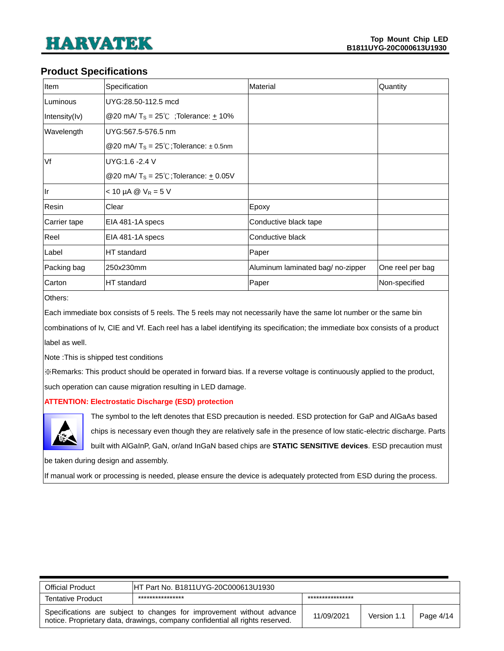#### <span id="page-3-0"></span>**Product Specifications**

| Item          | Specification                                       | Material                          | Quantity         |
|---------------|-----------------------------------------------------|-----------------------------------|------------------|
| Luminous      | UYG:28.50-112.5 mcd                                 |                                   |                  |
| Intensity(Iv) | @20 mA/ $T_s = 25^{\circ}$ ; Tolerance: $\pm$ 10%   |                                   |                  |
| Wavelength    | UYG:567.5-576.5 nm                                  |                                   |                  |
|               | @20 mA/ $T_s = 25^{\circ}$ C;Tolerance: $\pm$ 0.5nm |                                   |                  |
| Vf            | UYG:1.6 -2.4 V                                      |                                   |                  |
|               | @20 mA/ $T_s = 25^{\circ}$ C; Tolerance: + 0.05V    |                                   |                  |
| llr           | $<$ 10 µA @ $V_R$ = 5 V                             |                                   |                  |
| Resin         | Clear                                               | Epoxy                             |                  |
| Carrier tape  | EIA 481-1A specs                                    | Conductive black tape             |                  |
| Reel          | EIA 481-1A specs                                    | Conductive black                  |                  |
| Label         | HT standard                                         | Paper                             |                  |
| Packing bag   | 250x230mm                                           | Aluminum laminated bag/ no-zipper | One reel per bag |
| Carton        | HT standard                                         | Paper                             | Non-specified    |

Others:

Each immediate box consists of 5 reels. The 5 reels may not necessarily have the same lot number or the same bin

combinations of Iv, CIE and Vf. Each reel has a label identifying its specification; the immediate box consists of a product label as well.

Note :This is shipped test conditions

※Remarks: This product should be operated in forward bias. If a reverse voltage is continuously applied to the product, such operation can cause migration resulting in LED damage.

#### <span id="page-3-1"></span>**ATTENTION: Electrostatic Discharge (ESD) protection**



The symbol to the left denotes that ESD precaution is needed. ESD protection for GaP and AlGaAs based chips is necessary even though they are relatively safe in the presence of low static-electric discharge. Parts

built with AlGaInP, GaN, or/and InGaN based chips are **STATIC SENSITIVE devices**. ESD precaution must

be taken during design and assembly.

If manual work or processing is needed, please ensure the device is adequately protected from ESD during the process.

| <b>Official Product</b>  | HT Part No. B1811UYG-20C000613U1930                                                                                                                    |                  |             |           |  |
|--------------------------|--------------------------------------------------------------------------------------------------------------------------------------------------------|------------------|-------------|-----------|--|
| <b>Tentative Product</b> | ****************                                                                                                                                       | **************** |             |           |  |
|                          | Specifications are subject to changes for improvement without advance<br>notice. Proprietary data, drawings, company confidential all rights reserved. | 11/09/2021       | Version 1.1 | Page 4/14 |  |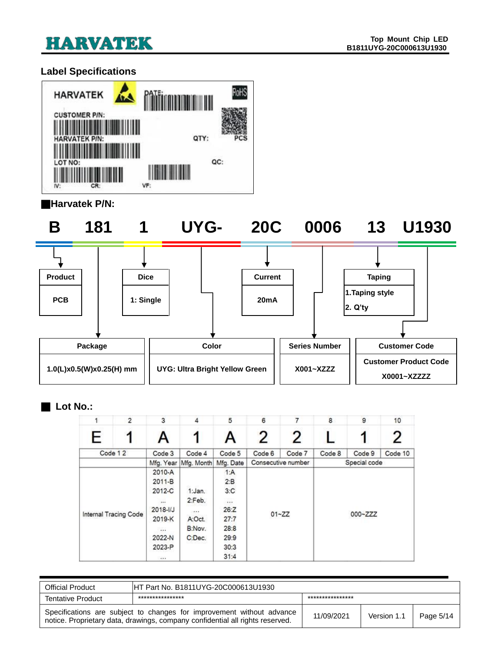

### <span id="page-4-0"></span>**Label Specifications**



#### ■**Harvatek P/N:**

**B 181 1 UYG- 20C 0006 13 U1930**



#### ■ **Lot No.:**

|   | $\overline{2}$        | 3            | 4          | 5         | 6      |                    | 8      | 9            | 10      |
|---|-----------------------|--------------|------------|-----------|--------|--------------------|--------|--------------|---------|
| E |                       |              |            | A         | 2      | 2                  |        | 1            | 2       |
|   | Code 12               | Code 3       | Code 4     | Code 5    | Code 6 | Code 7             | Code 8 | Code 9       | Code 10 |
|   |                       | Mfg. Year    | Mfg. Month | Mfg. Date |        | Consecutive number |        | Special code |         |
|   |                       | 2010-A       |            | 1:A       |        |                    |        |              |         |
|   |                       | 2011-B       |            | 2:B       |        |                    |        |              |         |
|   |                       | 2012-C       | 1:Jan.     | 3:C       |        |                    |        |              |         |
|   |                       | $\cdots$     | 2:Feb.     | 1.11      |        |                    |        |              |         |
|   |                       | $2018 - 1/J$ | 14.4.9     | 26:Z      |        |                    |        |              |         |
|   | Internal Tracing Code | 2019-K       | A:Oct.     | 27:7      |        | $01 - ZZ$          |        | 000~ZZZ      |         |
|   |                       | $\sim$       | B:Nov.     | 28:8      |        |                    |        |              |         |
|   |                       | 2022-N       | C:Dec.     | 29:9      |        |                    |        |              |         |
|   |                       | 2023-P       |            | 30:3      |        |                    |        |              |         |
|   |                       | 444          |            | 31:4      |        |                    |        |              |         |

| <b>Official Product</b>  | HT Part No. B1811UYG-20C000613U1930                                                                                                                    |                  |             |           |  |
|--------------------------|--------------------------------------------------------------------------------------------------------------------------------------------------------|------------------|-------------|-----------|--|
| <b>Tentative Product</b> | ****************                                                                                                                                       | **************** |             |           |  |
|                          | Specifications are subject to changes for improvement without advance<br>notice. Proprietary data, drawings, company confidential all rights reserved. | 11/09/2021       | Version 1.1 | Page 5/14 |  |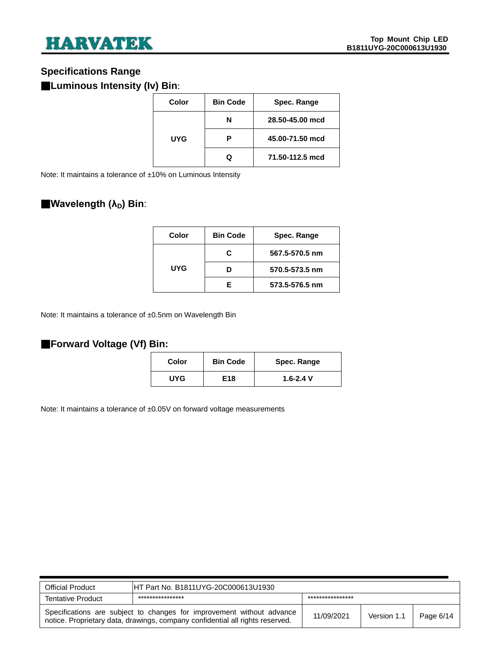### <span id="page-5-0"></span>**Specifications Range**

### ■**Luminous Intensity (Iv) Bin**:

| Color | <b>Bin Code</b> | Spec. Range     |
|-------|-----------------|-----------------|
| UYG   | N               | 28.50-45.00 mcd |
|       | Р               | 45.00-71.50 mcd |
|       | O               | 71.50-112.5 mcd |

Note: It maintains a tolerance of ±10% on Luminous Intensity

### ■**Wavelength (λD) Bin**:

| Color | <b>Bin Code</b> | Spec. Range    |
|-------|-----------------|----------------|
| UYG   | C.              | 567.5-570.5 nm |
|       |                 | 570.5-573.5 nm |
|       | F               | 573.5-576.5 nm |

Note: It maintains a tolerance of ±0.5nm on Wavelength Bin

#### ■**Forward Voltage (Vf) Bin:**

| Color | <b>Bin Code</b> | Spec. Range   |
|-------|-----------------|---------------|
| UYG   | E18             | $1.6 - 2.4$ V |

Note: It maintains a tolerance of ±0.05V on forward voltage measurements

| <b>Official Product</b>  | IHT Part No. B1811UYG-20C000613U1930                                                                                                                   |                  |             |           |  |
|--------------------------|--------------------------------------------------------------------------------------------------------------------------------------------------------|------------------|-------------|-----------|--|
| <b>Tentative Product</b> | ****************                                                                                                                                       | **************** |             |           |  |
|                          | Specifications are subject to changes for improvement without advance<br>notice. Proprietary data, drawings, company confidential all rights reserved. | 11/09/2021       | Version 1.1 | Page 6/14 |  |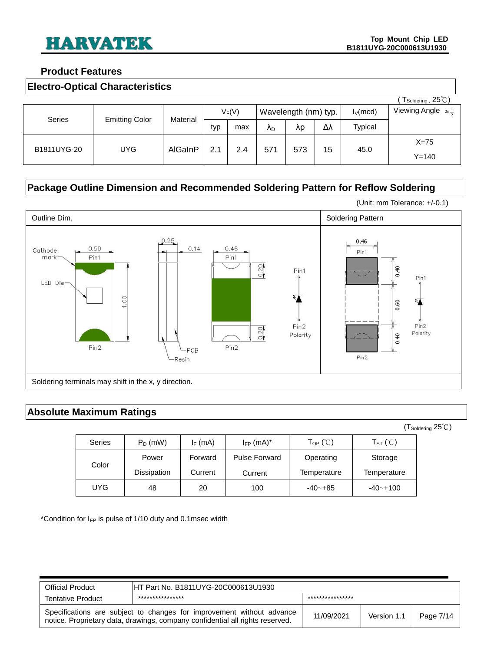#### <span id="page-6-0"></span>**Product Features**

<span id="page-6-1"></span>

| <b>Electro-Optical Characteristics</b> |
|----------------------------------------|
|----------------------------------------|

|             |                       |          |     |     |                      |     |             |                                     | $T_{\text{Soldering}}$ , 25°C) |
|-------------|-----------------------|----------|-----|-----|----------------------|-----|-------------|-------------------------------------|--------------------------------|
|             |                       | $V_F(V)$ |     |     | Wavelength (nm) typ. |     | $I_V$ (mcd) | Viewing Angle $2\theta \frac{1}{2}$ |                                |
| Series      | <b>Emitting Color</b> | Material | typ | max | Λ <sub>D</sub>       | λp  | Δλ          | Typical                             |                                |
| B1811UYG-20 | UYG.                  | AlGaInP  | 2.1 | 2.4 | 571                  | 573 | 15          | 45.0                                | $X=75$                         |
|             |                       |          |     |     |                      |     |             |                                     | $Y = 140$                      |

### <span id="page-6-2"></span>**Package Outline Dimension and Recommended Soldering Pattern for Reflow Soldering**



### <span id="page-6-3"></span>**Absolute Maximum Ratings**

(TSoldering 25℃)

| <b>Series</b> | $P_D$ (mW)  | $I_F$ (mA) | $I_{FP}$ (mA) <sup>*</sup> | $\mathsf{T}_{\mathsf{OP}}$ (°C) | $T_{ST}$ (°C) |
|---------------|-------------|------------|----------------------------|---------------------------------|---------------|
| Color         | Power       | Forward    | <b>Pulse Forward</b>       | Operating                       | Storage       |
|               | Dissipation | Current    | Current                    | Temperature                     | Temperature   |
| UYG.          | 48          | 20         | 100                        | $-40 - +85$                     | $-40-+100$    |

\*Condition for  $I_{FP}$  is pulse of 1/10 duty and 0.1msec width

| <b>Official Product</b> | HT Part No. B1811UYG-20C000613U1930                                                                                                                    |                 |             |           |
|-------------------------|--------------------------------------------------------------------------------------------------------------------------------------------------------|-----------------|-------------|-----------|
| Tentative Product       | ****************                                                                                                                                       | *************** |             |           |
|                         | Specifications are subject to changes for improvement without advance<br>notice. Proprietary data, drawings, company confidential all rights reserved. | 11/09/2021      | Version 1.1 | Page 7/14 |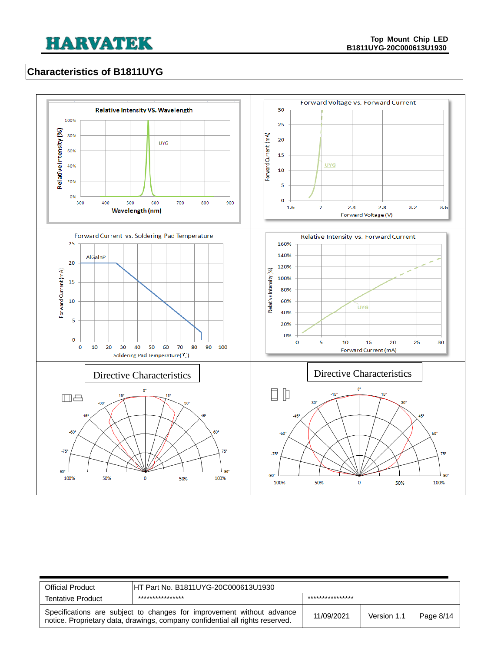### <span id="page-7-0"></span>**Characteristics of B1811UYG**



| <b>Official Product</b>  | IHT Part No. B1811UYG-20C000613U1930                                                                                                                   |                 |             |           |
|--------------------------|--------------------------------------------------------------------------------------------------------------------------------------------------------|-----------------|-------------|-----------|
| <b>Tentative Product</b> | ****************                                                                                                                                       | *************** |             |           |
|                          | Specifications are subject to changes for improvement without advance<br>notice. Proprietary data, drawings, company confidential all rights reserved. | 11/09/2021      | Version 1.1 | Page 8/14 |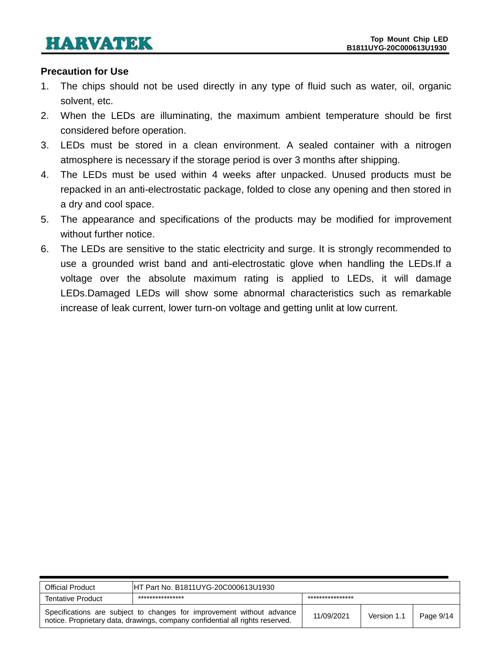#### <span id="page-8-0"></span>**Precaution for Use**

- 1. The chips should not be used directly in any type of fluid such as water, oil, organic solvent, etc.
- 2. When the LEDs are illuminating, the maximum ambient temperature should be first considered before operation.
- 3. LEDs must be stored in a clean environment. A sealed container with a nitrogen atmosphere is necessary if the storage period is over 3 months after shipping.
- 4. The LEDs must be used within 4 weeks after unpacked. Unused products must be repacked in an anti-electrostatic package, folded to close any opening and then stored in a dry and cool space.
- 5. The appearance and specifications of the products may be modified for improvement without further notice.
- 6. The LEDs are sensitive to the static electricity and surge. It is strongly recommended to use a grounded wrist band and anti-electrostatic glove when handling the LEDs.If a voltage over the absolute maximum rating is applied to LEDs, it will damage LEDs.Damaged LEDs will show some abnormal characteristics such as remarkable increase of leak current, lower turn-on voltage and getting unlit at low current.

| <b>Official Product</b>  | IHT Part No. B1811UYG-20C000613U1930                                                                                                                   |                 |             |           |
|--------------------------|--------------------------------------------------------------------------------------------------------------------------------------------------------|-----------------|-------------|-----------|
| <b>Tentative Product</b> | ****************                                                                                                                                       | *************** |             |           |
|                          | Specifications are subject to changes for improvement without advance<br>notice. Proprietary data, drawings, company confidential all rights reserved. | 11/09/2021      | Version 1.1 | Page 9/14 |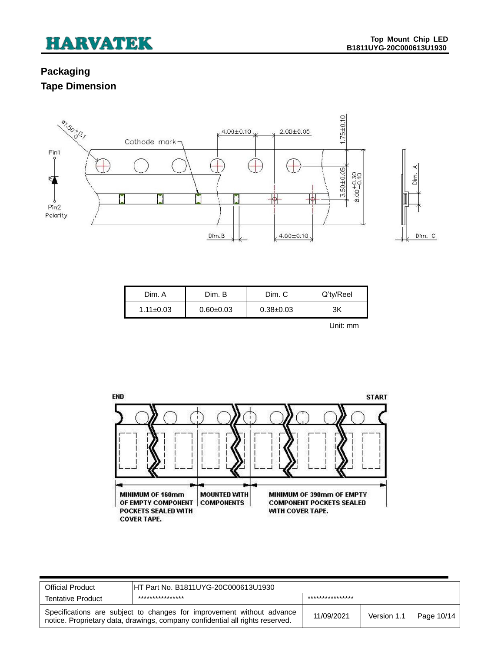### <span id="page-9-1"></span><span id="page-9-0"></span>**Packaging Tape Dimension**



| Dim. A          | Dim. B        | Dim. C        | Q'ty/Reel |
|-----------------|---------------|---------------|-----------|
| $1.11 \pm 0.03$ | $0.60 + 0.03$ | $0.38 + 0.03$ | ЗK        |

Unit: mm



| <b>Official Product</b>  | HT Part No. B1811UYG-20C000613U1930                                                                                                                    |                  |             |            |
|--------------------------|--------------------------------------------------------------------------------------------------------------------------------------------------------|------------------|-------------|------------|
| <b>Tentative Product</b> | ****************                                                                                                                                       | **************** |             |            |
|                          | Specifications are subject to changes for improvement without advance<br>notice. Proprietary data, drawings, company confidential all rights reserved. | 11/09/2021       | Version 1.1 | Page 10/14 |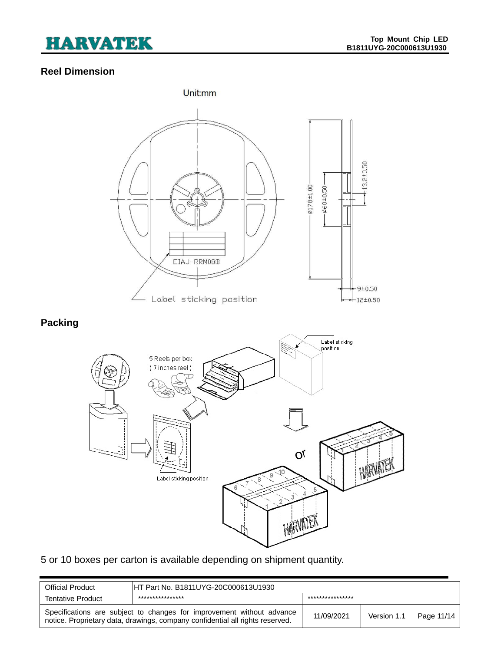### <span id="page-10-0"></span>**Reel Dimension**

<span id="page-10-1"></span>

### 5 or 10 boxes per carton is available depending on shipment quantity.

| <b>Official Product</b>  | HT Part No. B1811UYG-20C000613U1930                                                                                                                    |                 |             |            |
|--------------------------|--------------------------------------------------------------------------------------------------------------------------------------------------------|-----------------|-------------|------------|
| <b>Tentative Product</b> | ****************                                                                                                                                       | *************** |             |            |
|                          | Specifications are subject to changes for improvement without advance<br>notice. Proprietary data, drawings, company confidential all rights reserved. | 11/09/2021      | Version 1.1 | Page 11/14 |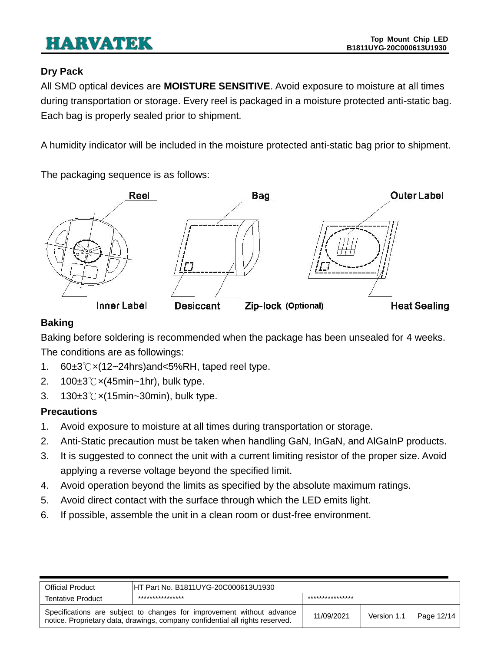### <span id="page-11-0"></span>**Dry Pack**

All SMD optical devices are **MOISTURE SENSITIVE**. Avoid exposure to moisture at all times during transportation or storage. Every reel is packaged in a moisture protected anti-static bag. Each bag is properly sealed prior to shipment.

A humidity indicator will be included in the moisture protected anti-static bag prior to shipment.

The packaging sequence is as follows:



### <span id="page-11-1"></span>**Baking**

Baking before soldering is recommended when the package has been unsealed for 4 weeks. The conditions are as followings:

- 1. 60±3℃×(12~24hrs)and<5%RH, taped reel type.
- 2. 100±3℃×(45min~1hr), bulk type.
- 3. 130±3℃×(15min~30min), bulk type.

### <span id="page-11-2"></span>**Precautions**

- 1. Avoid exposure to moisture at all times during transportation or storage.
- 2. Anti-Static precaution must be taken when handling GaN, InGaN, and AlGaInP products.
- 3. It is suggested to connect the unit with a current limiting resistor of the proper size. Avoid applying a reverse voltage beyond the specified limit.
- 4. Avoid operation beyond the limits as specified by the absolute maximum ratings.
- 5. Avoid direct contact with the surface through which the LED emits light.
- 6. If possible, assemble the unit in a clean room or dust-free environment.

| <b>Official Product</b> | HT Part No. B1811UYG-20C000613U1930                                                                                                                    |                  |             |            |
|-------------------------|--------------------------------------------------------------------------------------------------------------------------------------------------------|------------------|-------------|------------|
| Tentative Product       | ****************                                                                                                                                       | **************** |             |            |
|                         | Specifications are subject to changes for improvement without advance<br>notice. Proprietary data, drawings, company confidential all rights reserved. | 11/09/2021       | Version 1.1 | Page 12/14 |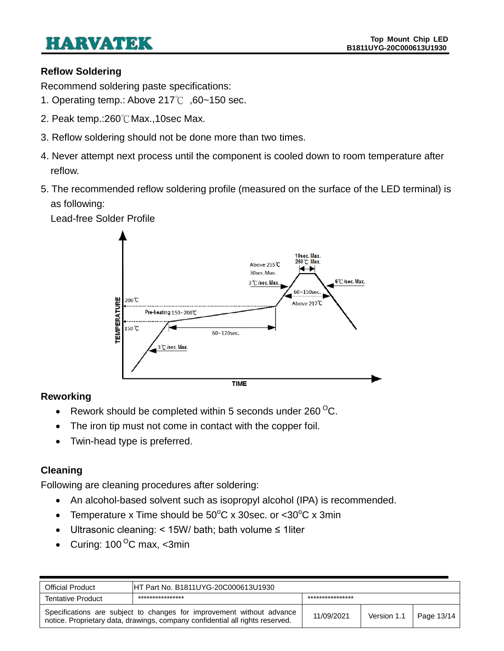### <span id="page-12-0"></span>**Reflow Soldering**

Recommend soldering paste specifications:

- 1. Operating temp.: Above 217℃ ,60~150 sec.
- 2. Peak temp.:260℃Max.,10sec Max.
- 3. Reflow soldering should not be done more than two times.
- 4. Never attempt next process until the component is cooled down to room temperature after reflow.
- 5. The recommended reflow soldering profile (measured on the surface of the LED terminal) is as following:



Lead-free Solder Profile

### <span id="page-12-1"></span>**Reworking**

- Exercise Rework should be completed within 5 seconds under 260  $^{\circ}$ C.
- The iron tip must not come in contact with the copper foil.
- Twin-head type is preferred.

### <span id="page-12-2"></span>**Cleaning**

Following are cleaning procedures after soldering:

- An alcohol-based solvent such as isopropyl alcohol (IPA) is recommended.
- Temperature x Time should be  $50^{\circ}$ C x 30sec. or <30 $^{\circ}$ C x 3min
- Ultrasonic cleaning: < 15W/ bath; bath volume ≤ 1liter
- Curing:  $100^{\circ}$ C max, <3min

| <b>Official Product</b>                                                                                                                                | IHT Part No. B1811UYG-20C000613U1930 |                  |             |            |
|--------------------------------------------------------------------------------------------------------------------------------------------------------|--------------------------------------|------------------|-------------|------------|
| <b>Tentative Product</b>                                                                                                                               | ****************                     | **************** |             |            |
| Specifications are subject to changes for improvement without advance<br>notice. Proprietary data, drawings, company confidential all rights reserved. |                                      | 11/09/2021       | Version 1.1 | Page 13/14 |